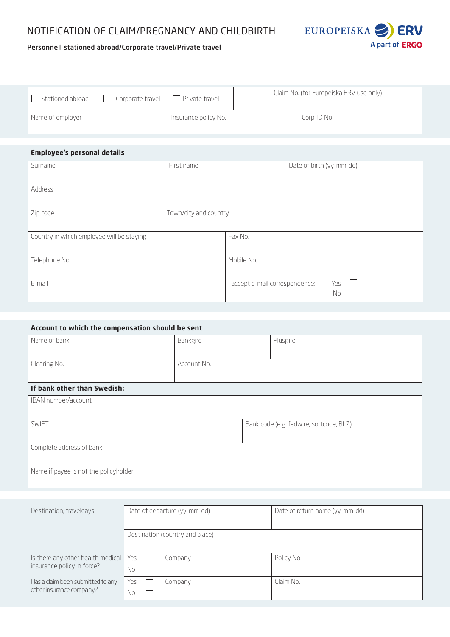# NOTIFICATION OF CLAIM/PREGNANCY AND CHILDBIRTH



# Personnell stationed abroad/Corporate travel/Private travel

| Stationed abroad | Corporate travel<br>$\mathbf{I}$ | Private travel       | Claim No. (for Europeiska ERV use only) |              |
|------------------|----------------------------------|----------------------|-----------------------------------------|--------------|
| Name of employer |                                  | Insurance policy No. |                                         | Corp. ID No. |

## **Employee's personal details**

| Surname                                   | First name            |                                 | Date of birth (yy-mm-dd) |
|-------------------------------------------|-----------------------|---------------------------------|--------------------------|
| Address                                   |                       |                                 |                          |
| Zip code                                  | Town/city and country |                                 |                          |
| Country in which employee will be staying |                       | Fax No.                         |                          |
| Telephone No.                             |                       | Mobile No.                      |                          |
| E-mail                                    |                       | l accept e-mail correspondence: | Yes<br>No                |

| Account to which the compensation should be sent |             |                                         |  |
|--------------------------------------------------|-------------|-----------------------------------------|--|
| Name of bank                                     | Bankgiro    | Plusgiro                                |  |
|                                                  |             |                                         |  |
| Clearing No.                                     | Account No. |                                         |  |
|                                                  |             |                                         |  |
| If bank other than Swedish:                      |             |                                         |  |
| IBAN number/account                              |             |                                         |  |
|                                                  |             |                                         |  |
| <b>SWIFT</b>                                     |             | Bank code (e.g. fedwire, sortcode, BLZ) |  |
|                                                  |             |                                         |  |
| Complete address of bank                         |             |                                         |  |
|                                                  |             |                                         |  |
| Name if payee is not the policyholder            |             |                                         |  |

| Destination, traveldays                                         | Date of departure (yy-mm-dd)    |  |         | Date of return home (yy-mm-dd) |
|-----------------------------------------------------------------|---------------------------------|--|---------|--------------------------------|
|                                                                 | Destination (country and place) |  |         |                                |
| Is there any other health medical<br>insurance policy in force? | Yes<br>No                       |  | Company | Policy No.                     |
| Has a claim been submitted to any<br>other insurance company?   | Yes<br>No                       |  | Company | Claim No.                      |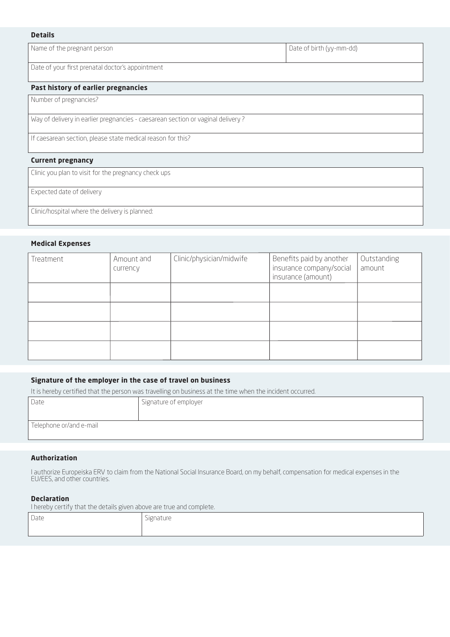#### **Details**

Name of the pregnant person **Date of birth (yy-mm-dd)** Date of birth (yy-mm-dd)

Date of your first prenatal doctor's appointment

#### **Past history of earlier pregnancies**

Number of pregnancies?

Way of delivery in earlier pregnancies - caesarean section or vaginal delivery ?

If caesarean section, please state medical reason for this?

## **Current pregnancy**

Clinic you plan to visit for the pregnancy check ups

Expected date of delivery

Clinic/hospital where the delivery is planned:

## **Medical Expenses**

| Treatment | Amount and<br>currency | Clinic/physician/midwife | Benefits paid by another<br>insurance company/social<br>insurance (amount) | Outstanding<br>amount |
|-----------|------------------------|--------------------------|----------------------------------------------------------------------------|-----------------------|
|           |                        |                          |                                                                            |                       |
|           |                        |                          |                                                                            |                       |
|           |                        |                          |                                                                            |                       |
|           |                        |                          |                                                                            |                       |

## **Signature of the employer in the case of travel on business**

It is hereby certified that the person was travelling on business at the time when the incident occurred.

| Date                    | Signature of employer |
|-------------------------|-----------------------|
| Telephone or/and e-mail |                       |

## **Authorization**

I authorize Europeiska ERV to claim from the National Social Insurance Board, on my behalf, compensation for medical expenses in the EU/EES, and other countries.

## **Declaration**

I hereby certify that the details given above are true and complete.

| $\sum_{n=1}^{n}$<br>. Da lt | Signature |
|-----------------------------|-----------|
|                             |           |